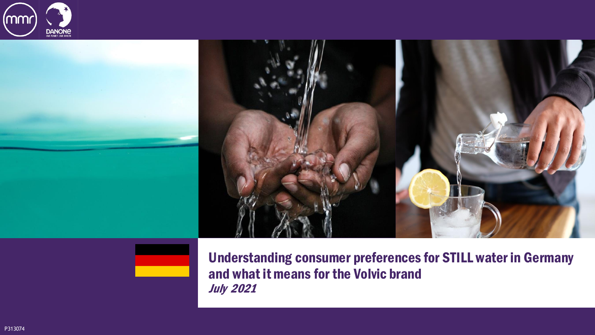



Understanding consumer preferences for STILL water in Germany and what it means for the Volvic brand July 2021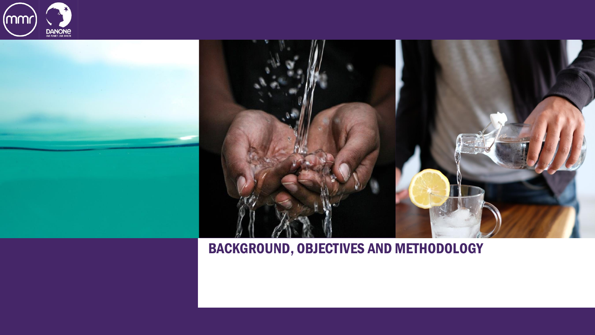





#### BACKGROUND, OBJECTIVES AND METHODOLOGY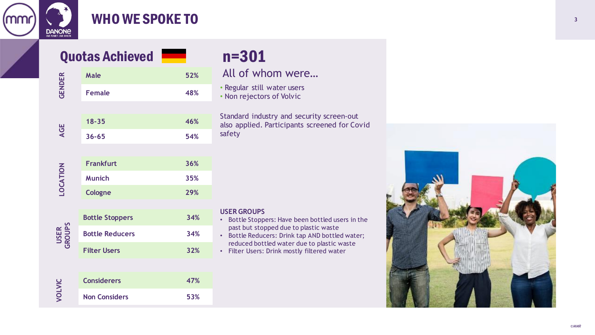

#### WHO WE SPOKE TO

### Quotas Achieved **n=301**

#### **GENDER Male 52% Female 48% AGE 18 -35 46% 36 -65 54% LOCATION Frankfurt 36% Munich 35% Cologne 29% Bottle Stoppers 34% Bottle Reducers 34%**

# **USER GROUPS**

**Filter Users 32%**

| <b>Considerers</b>   | 47% |
|----------------------|-----|
| <b>Non Considers</b> | 53% |

All of whom were…

• Regular still water users • Non rejectors of Volvic

Standard industry and security screen -out also applied. Participants screened for Covid safety

#### **USER GROUPS**

- Bottle Stoppers: Have been bottled users in the past but stopped due to plastic waste
- Bottle Reducers: Drink tap AND bottled water; reduced bottled water due to plastic waste
- Filter Users: Drink mostly filtered water

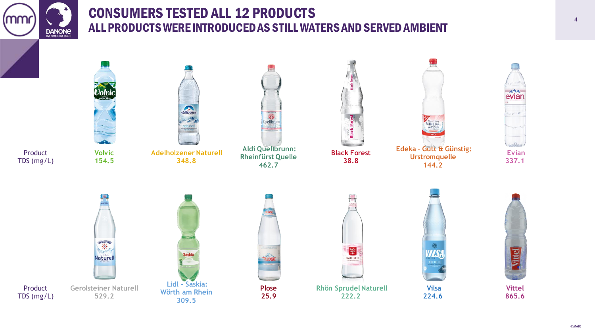

#### CONSUMERS TESTED ALL 12 PRODUCTS **<sup>4</sup>** ALL PRODUCTS WERE INTRODUCED AS STILL WATERS AND SERVED AMBIENT

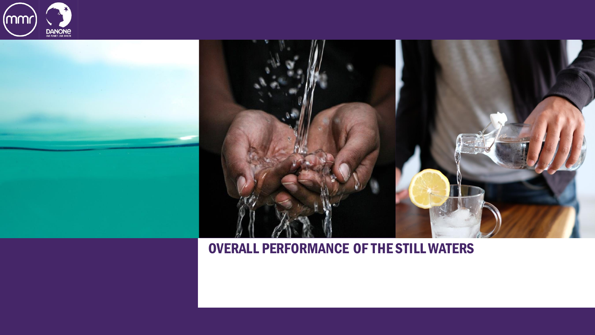





#### OVERALL PERFORMANCE OF THE STILL WATERS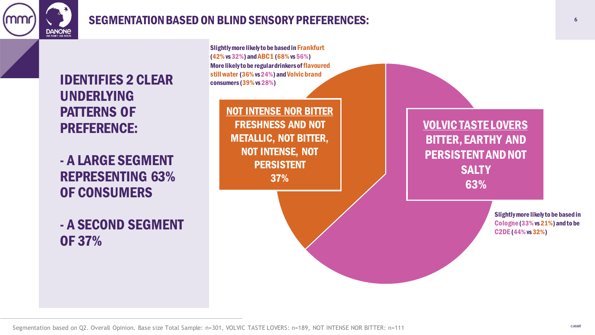

#### SEGMENTATION BASED ON BLIND SENSORY PREFERENCES:

Slightly more likely to be based in Frankfurt



- A LARGE SEGMENT REPRESENTING 63% OF CONSUMERS

- A SECOND SEGMENT OF 37%

VOLVIC TASTE LOVERS BITTER, EARTHY AND PERSISTENT AND NOT **SALTY** 63% NOT INTENSE NOR BITTER FRESHNESS AND NOT METALLIC, NOT BITTER, NOT INTENSE, NOT PERSISTENT 37% (42% vs 32%) and ABC1 (68%vs 56%) More likely to be regular drinkers of flavoured still water (36%vs 24%) and Volvic brand consumers (39%vs 28%) Slightly more likely to be based in Cologne(33% vs 21%) and to be C2DE (44%vs 32%)

**6**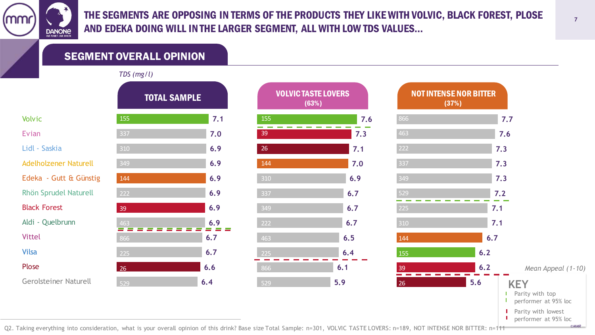(MM **DANONE** 

THE SEGMENTS ARE OPPOSING IN TERMS OF THE PRODUCTS THEY LIKE WITH VOLVIC, BLACK FOREST, PLOSE AND EDEKA DOING WILL IN THE LARGER SEGMENT, ALL WITH LOW TDS VALUES…

SEGMENT OVERALL OPINION

*TDS (mg/l)*

|                              | <b>TOTAL SAMPLE</b> |     |
|------------------------------|---------------------|-----|
| <b>Volvic</b>                | 155                 | 7.1 |
| Evian                        | 337                 | 7.0 |
| Lidl - Saskia                | 310                 | 6.9 |
| <b>Adelholzener Naturell</b> | 349                 | 6.9 |
| Edeka - Gutt & Günstig       | 144                 | 6.9 |
| <b>Rhön Sprudel Naturell</b> | 222                 | 6.9 |
| <b>Black Forest</b>          | 39                  | 6.9 |
| Aldi - Quelbrunn             | 463                 | 6.9 |
| <b>Vittel</b>                | 866                 | 6.7 |
| <b>Vilsa</b>                 | 225                 | 6.7 |
| Plose                        | 26                  | 6.6 |
| <b>Gerolsteiner Naturell</b> | 529                 | 6.4 |

| $\sqrt{}$           |     |                                     |     |                               |  |
|---------------------|-----|-------------------------------------|-----|-------------------------------|--|
| <b>TOTAL SAMPLE</b> |     | <b>VOLVIC TASTE LOVERS</b><br>(63%) |     | <b>NOT INTENSE N</b><br>(37%) |  |
|                     | 7.1 | 155                                 | 7.6 | 866                           |  |
|                     | 7.0 | 39                                  | 7.3 | 463                           |  |
|                     | 6.9 | 26                                  | 7.1 | 222                           |  |
|                     | 6.9 | 144                                 | 7.0 | 337                           |  |
|                     | 6.9 | 310                                 | 6.9 | 349                           |  |
|                     | 6.9 | 337                                 | 6.7 | 529                           |  |
|                     | 6.9 | 349                                 | 6.7 | 225                           |  |
|                     | 6.9 | 222                                 | 6.7 | 310                           |  |
|                     | 6.7 | 463                                 | 6.5 | 144                           |  |
|                     | 6.7 | 225                                 | 6.4 | 155                           |  |
|                     | 6.6 | 866                                 | 6.1 | 39                            |  |
|                     | 6.4 | 529                                 | 5.9 | 26                            |  |
|                     |     |                                     |     |                               |  |

|                                                            | <b>NOT INTENSE NOR BITTER</b><br>(37%) |                                                                 |
|------------------------------------------------------------|----------------------------------------|-----------------------------------------------------------------|
| 866                                                        |                                        | 7.7                                                             |
| 463                                                        |                                        | 7.6                                                             |
| 222                                                        |                                        | 7.3                                                             |
| $\overline{337}$                                           |                                        | 7.3                                                             |
| 349                                                        |                                        | 7.3                                                             |
| 529                                                        | 7.2                                    |                                                                 |
| 225                                                        | 7.1                                    |                                                                 |
| 310                                                        | 7.1                                    |                                                                 |
| 144                                                        | 6.7                                    |                                                                 |
| 155                                                        | 6.2                                    |                                                                 |
| 39                                                         | 6.2                                    | Mean Appeal (1-10)                                              |
| 26                                                         | 5.6                                    | <b>KEY</b><br>Parity with top<br>H<br>performer at 95% loc<br>Ш |
| $C_{\rm{max}}$ 4.00 NOT INTENCE NOD DITTED, $\alpha$ 4.111 |                                        | Parity with lowest<br>performer at 95% loc<br><b>OMMR</b>       |

Q2. Taking everything into consideration, what is your overall opinion of this drink? Base size Total Sample: n=301, VOLVIC TASTE LOVERS: n=189, NOT INTENSE NOR BITTER: n=111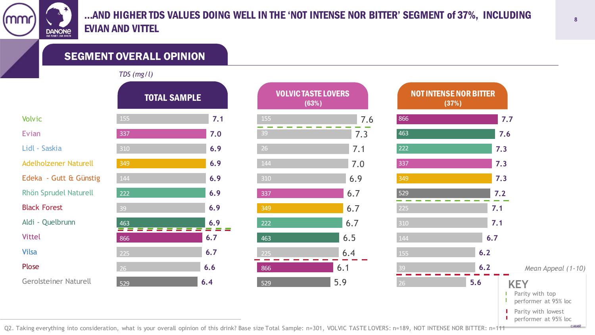(MW **DANONE** 

#### …AND HIGHER TDS VALUES DOING WELL IN THE 'NOT INTENSE NOR BITTER' SEGMENT of 37%, INCLUDING EVIAN AND VITTEL

SEGMENT OVERALL OPINION

#### *TDS (mg/l)*

|                              | <b>TOTAL SAMPLE</b> |     |
|------------------------------|---------------------|-----|
| <b>Volvic</b>                | 155                 | 7.1 |
| Evian                        | 337                 | 7.0 |
| Lidl - Saskia                | 310                 | 6.9 |
| <b>Adelholzener Naturell</b> | 349                 | 6.9 |
| Edeka - Gutt & Günstig       | 144                 | 6.9 |
| <b>Rhön Sprudel Naturell</b> | 222                 | 6.9 |
| <b>Black Forest</b>          | 39                  | 6.9 |
| Aldi - Quelbrunn             | 463                 | 6.9 |
| <b>Vittel</b>                | 866                 | 6.7 |
| <b>Vilsa</b>                 | 225                 | 6.7 |
| Plose                        | 26                  | 6.6 |
| <b>Gerolsteiner Naturell</b> | 529                 | 6.4 |

| $\cdots$            |     |                                     |     |                               |
|---------------------|-----|-------------------------------------|-----|-------------------------------|
| <b>TOTAL SAMPLE</b> |     | <b>VOLVIC TASTE LOVERS</b><br>(63%) |     | <b>NOT INTENSE N</b><br>(37%) |
|                     | 7.1 | 155                                 | 7.6 | 866                           |
|                     | 7.0 | 39                                  | 7.3 | 463                           |
|                     | 6.9 | 26                                  | 7.1 | 222                           |
|                     | 6.9 | 144                                 | 7.0 | 337                           |
|                     | 6.9 | 310                                 | 6.9 | 349                           |
|                     | 6.9 | 337                                 | 6.7 | 529                           |
|                     | 6.9 | 349                                 | 6.7 | 225                           |
|                     | 6.9 | 222                                 | 6.7 | 310                           |
|                     | 6.7 | 463                                 | 6.5 | 144                           |
|                     | 6.7 | 225                                 | 6.4 | 155                           |
|                     | 6.6 | 866                                 | 6.1 | 39                            |
|                     | 6.4 | 529                                 | 5.9 | 26                            |
|                     |     |                                     |     |                               |



Q2. Taking everything into consideration, what is your overall opinion of this drink? Base size Total Sample: n=301, VOLVIC TASTE LOVERS: n=189, NOT INTENSE NOR BITTER: n=111